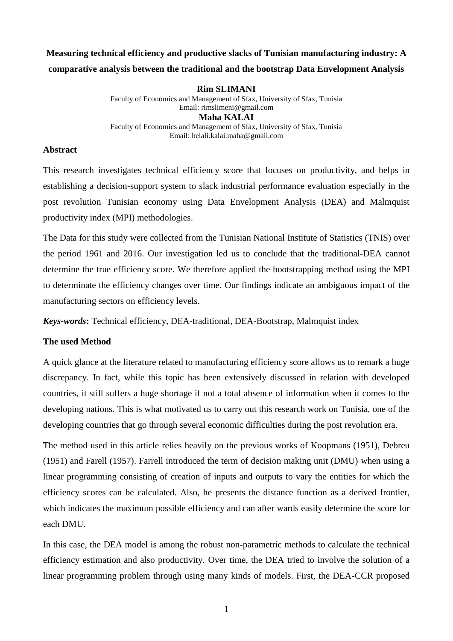# **Measuring technical efficiency and productive slacks of Tunisian manufacturing industry: A comparative analysis between the traditional and the bootstrap Data Envelopment Analysis**

## **Rim SLIMANI**

Faculty of Economics and Management of Sfax, University of Sfax, Tunisia Email: rimslimeni@gmail.com **Maha KALAI** Faculty of Economics and Management of Sfax, University of Sfax, Tunisia Email: helali.kalai.maha@gmail.com

### **Abstract**

This research investigates technical efficiency score that focuses on productivity, and helps in establishing a decision-support system to slack industrial performance evaluation especially in the post revolution Tunisian economy using Data Envelopment Analysis (DEA) and Malmquist productivity index (MPI) methodologies.

The Data for this study were collected from the Tunisian National Institute of Statistics (TNIS) over the period 1961 and 2016. Our investigation led us to conclude that the traditional-DEA cannot determine the true efficiency score. We therefore applied the bootstrapping method using the MPI to determinate the efficiency changes over time. Our findings indicate an ambiguous impact of the manufacturing sectors on efficiency levels.

*Keys-words***:** Technical efficiency, DEA-traditional, DEA-Bootstrap, Malmquist index

#### **The used Method**

A quick glance at the literature related to manufacturing efficiency score allows us to remark a huge discrepancy. In fact, while this topic has been extensively discussed in relation with developed countries, it still suffers a huge shortage if not a total absence of information when it comes to the developing nations. This is what motivated us to carry out this research work on Tunisia, one of the developing countries that go through several economic difficulties during the post revolution era.

The method used in this article relies heavily on the previous works of Koopmans (1951), Debreu (1951) and Farell (1957). Farrell introduced the term of decision making unit (DMU) when using a linear programming consisting of creation of inputs and outputs to vary the entities for which the efficiency scores can be calculated. Also, he presents the distance function as a derived frontier, which indicates the maximum possible efficiency and can after wards easily determine the score for each DMU.

In this case, the DEA model is among the robust non-parametric methods to calculate the technical efficiency estimation and also productivity. Over time, the DEA tried to involve the solution of a linear programming problem through using many kinds of models. First, the DEA-CCR proposed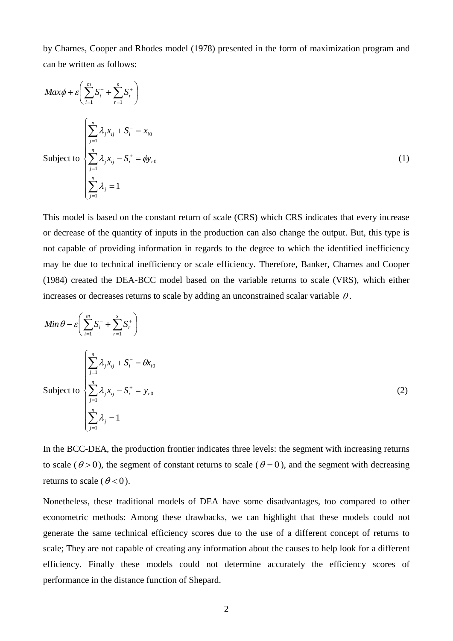by Charnes, Cooper and Rhodes model (1978) presented in the form of maximization program and can be written as follows:

$$
Max\phi + \varepsilon \left( \sum_{i=1}^{m} S_i^- + \sum_{r=1}^{s} S_r^+ \right)
$$
  
\n
$$
Subject to \begin{cases} \sum_{j=1}^{n} \lambda_j x_{ij} + S_i^- = x_{i0} \\ \sum_{j=1}^{n} \lambda_j x_{ij} - S_i^+ = \phi y_{r0} \\ \sum_{j=1}^{n} \lambda_j = 1 \end{cases}
$$
 (1)

This model is based on the constant return of scale (CRS) which CRS indicates that every increase or decrease of the quantity of inputs in the production can also change the output. But, this type is not capable of providing information in regards to the degree to which the identified inefficiency may be due to technical inefficiency or scale efficiency. Therefore, Banker, Charnes and Cooper (1984) created the DEA-BCC model based on the variable returns to scale (VRS), which either increases or decreases returns to scale by adding an unconstrained scalar variable  $\theta$ .

$$
Min \theta - \varepsilon \left( \sum_{i=1}^{m} S_i^- + \sum_{r=1}^{s} S_r^+ \right)
$$
  
\n
$$
Subject to \begin{cases} \sum_{j=1}^{n} \lambda_j x_{ij} + S_i^- = \theta x_{i0} \\ \sum_{j=1}^{n} \lambda_j x_{ij} - S_i^+ = y_{r0} \\ \sum_{j=1}^{n} \lambda_j = 1 \end{cases}
$$
 (2)

In the BCC-DEA, the production frontier indicates three levels: the segment with increasing returns to scale ( $\theta > 0$ ), the segment of constant returns to scale ( $\theta = 0$ ), and the segment with decreasing returns to scale ( $\theta < 0$ ).

Nonetheless, these traditional models of DEA have some disadvantages, too compared to other econometric methods: Among these drawbacks, we can highlight that these models could not generate the same technical efficiency scores due to the use of a different concept of returns to scale; They are not capable of creating any information about the causes to help look for a different efficiency. Finally these models could not determine accurately the efficiency scores of performance in the distance function of Shepard.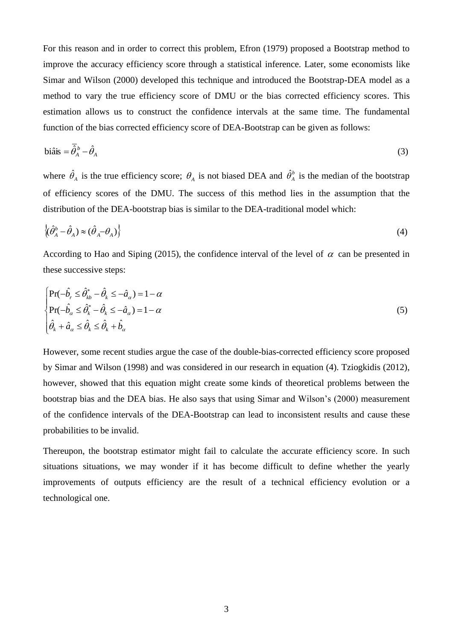For this reason and in order to correct this problem, Efron (1979) proposed a Bootstrap method to improve the accuracy efficiency score through a statistical inference. Later, some economists like Simar and Wilson (2000) developed this technique and introduced the Bootstrap-DEA model as a method to vary the true efficiency score of DMU or the bias corrected efficiency scores. This estimation allows us to construct the confidence intervals at the same time. The fundamental function of the bias corrected efficiency score of DEA-Bootstrap can be given as follows:

$$
\text{biâis} = \overline{\hat{\theta}}_A^b - \hat{\theta}_A \tag{3}
$$

where  $\hat{\theta}_A$  is the true efficiency score;  $\theta_A$  is not biased DEA and  $\hat{\theta}_A^b$  is the median of the bootstrap of efficiency scores of the DMU. The success of this method lies in the assumption that the distribution of the DEA-bootstrap bias is similar to the DEA-traditional model which:

$$
\left\langle (\hat{\theta}_A^b - \hat{\theta}_A) \approx (\hat{\theta}_A - \theta_A) \right\rangle \tag{4}
$$

According to Hao and Siping (2015), the confidence interval of the level of  $\alpha$  can be presented in these successive steps:

$$
\begin{cases}\n\Pr(-\hat{b}_r \leq \hat{\theta}_{kb}^* - \hat{\theta}_k \leq -\hat{a}_\alpha) = 1 - \alpha \\
\Pr(-\hat{b}_\alpha \leq \hat{\theta}_k^* - \hat{\theta}_k \leq -\hat{a}_\alpha) = 1 - \alpha \\
\hat{\theta}_k + \hat{a}_\alpha \leq \hat{\theta}_k \leq \hat{\theta}_k + \hat{b}_\alpha\n\end{cases}
$$
\n(5)

However, some recent studies argue the case of the double-bias-corrected efficiency score proposed by Simar and Wilson (1998) and was considered in our research in equation (4). Tziogkidis (2012), however, showed that this equation might create some kinds of theoretical problems between the bootstrap bias and the DEA bias. He also says that using Simar and Wilson's (2000) measurement of the confidence intervals of the DEA-Bootstrap can lead to inconsistent results and cause these probabilities to be invalid.

Thereupon, the bootstrap estimator might fail to calculate the accurate efficiency score. In such situations situations, we may wonder if it has become difficult to define whether the yearly improvements of outputs efficiency are the result of a technical efficiency evolution or a technological one.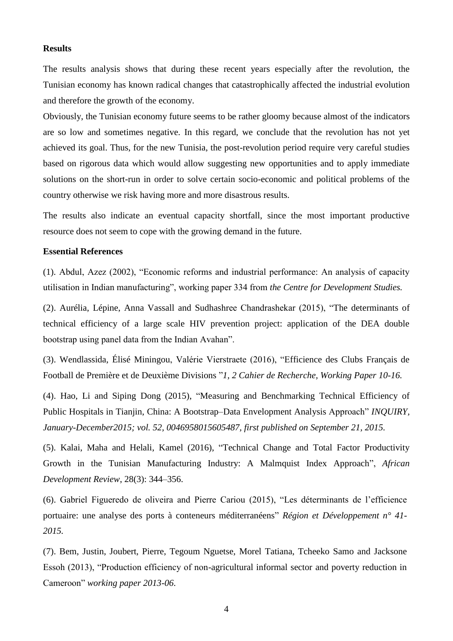#### **Results**

The results analysis shows that during these recent years especially after the revolution, the Tunisian economy has known radical changes that catastrophically affected the industrial evolution and therefore the growth of the economy.

Obviously, the Tunisian economy future seems to be rather gloomy because almost of the indicators are so low and sometimes negative. In this regard, we conclude that the revolution has not yet achieved its goal. Thus, for the new Tunisia, the post-revolution period require very careful studies based on rigorous data which would allow suggesting new opportunities and to apply immediate solutions on the short-run in order to solve certain socio-economic and political problems of the country otherwise we risk having more and more disastrous results.

The results also indicate an eventual capacity shortfall, since the most important productive resource does not seem to cope with the growing demand in the future.

## **Essential References**

(1). Abdul, Azez (2002), "Economic reforms and industrial performance: An analysis of capacity utilisation in Indian manufacturing", working paper 334 from *the Centre for Development Studies.*

(2). Aurélia, Lépine, Anna Vassall and Sudhashree Chandrashekar (2015), "The determinants of technical efficiency of a large scale HIV prevention project: application of the DEA double bootstrap using panel data from the Indian Avahan".

(3). Wendlassida, Élisé Miningou, Valérie Vierstraete (2016), "Efficience des Clubs Français de Football de Première et de Deuxième Divisions "*1, 2 Cahier de Recherche, Working Paper 10-16.*

(4). Hao, Li and Siping Dong (2015), "Measuring and Benchmarking Technical Efficiency of Public Hospitals in Tianjin, China: A Bootstrap–Data Envelopment Analysis Approach" *INQUIRY, January-December2015; vol. 52, 0046958015605487, first published on September 21, 2015.*

(5). Kalai, Maha and Helali, Kamel (2016), "Technical Change and Total Factor Productivity Growth in the Tunisian Manufacturing Industry: A Malmquist Index Approach", *African Development Review*, 28(3): 344–356.

(6). Gabriel Figueredo de oliveira and Pierre Cariou (2015), "Les déterminants de l'efficience portuaire: une analyse des ports à conteneurs méditerranéens" *Région et Développement n° 41- 2015.*

(7). Bem, Justin, Joubert, Pierre, Tegoum Nguetse, Morel Tatiana, Tcheeko Samo and Jacksone Essoh (2013), "Production efficiency of non-agricultural informal sector and poverty reduction in Cameroon" *working paper 2013-06*.